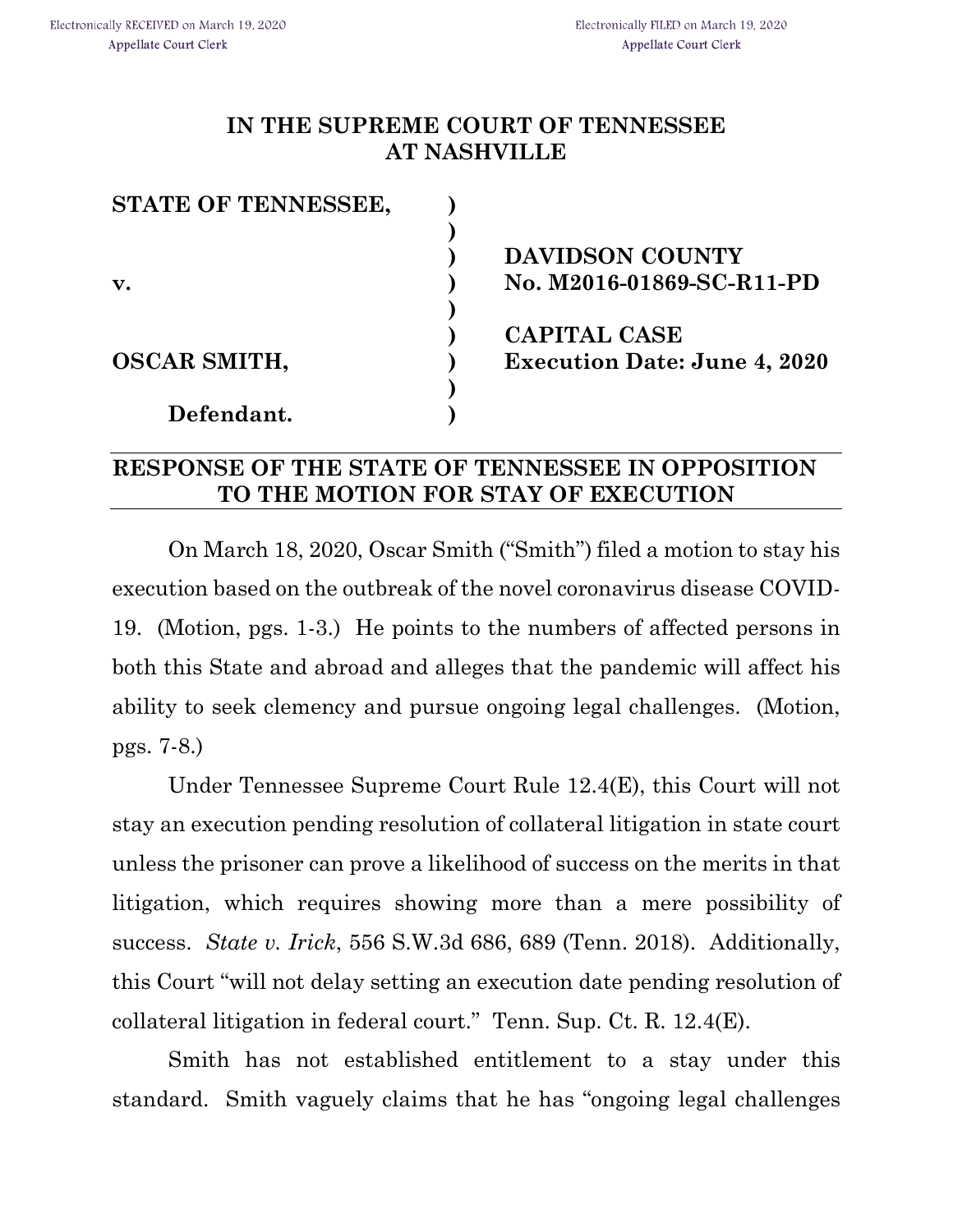## **IN THE SUPREME COURT OF TENNESSEE AT NASHVILLE**

| STATE OF TENNESSEE, |                                     |
|---------------------|-------------------------------------|
|                     |                                     |
|                     | <b>DAVIDSON COUNTY</b>              |
| $\mathbf{v}$ .      | No. M2016-01869-SC-R11-PD           |
|                     |                                     |
|                     | <b>CAPITAL CASE</b>                 |
| <b>OSCAR SMITH,</b> | <b>Execution Date: June 4, 2020</b> |
|                     |                                     |
| Defendant.          |                                     |

## **RESPONSE OF THE STATE OF TENNESSEE IN OPPOSITION TO THE MOTION FOR STAY OF EXECUTION**

On March 18, 2020, Oscar Smith ("Smith") filed a motion to stay his execution based on the outbreak of the novel coronavirus disease COVID-19. (Motion, pgs. 1-3.) He points to the numbers of affected persons in both this State and abroad and alleges that the pandemic will affect his ability to seek clemency and pursue ongoing legal challenges. (Motion, pgs. 7-8.)

Under Tennessee Supreme Court Rule 12.4(E), this Court will not stay an execution pending resolution of collateral litigation in state court unless the prisoner can prove a likelihood of success on the merits in that litigation, which requires showing more than a mere possibility of success. *State v. Irick*, 556 S.W.3d 686, 689 (Tenn. 2018). Additionally, this Court "will not delay setting an execution date pending resolution of collateral litigation in federal court." Tenn. Sup. Ct. R. 12.4(E).

Smith has not established entitlement to a stay under this standard. Smith vaguely claims that he has "ongoing legal challenges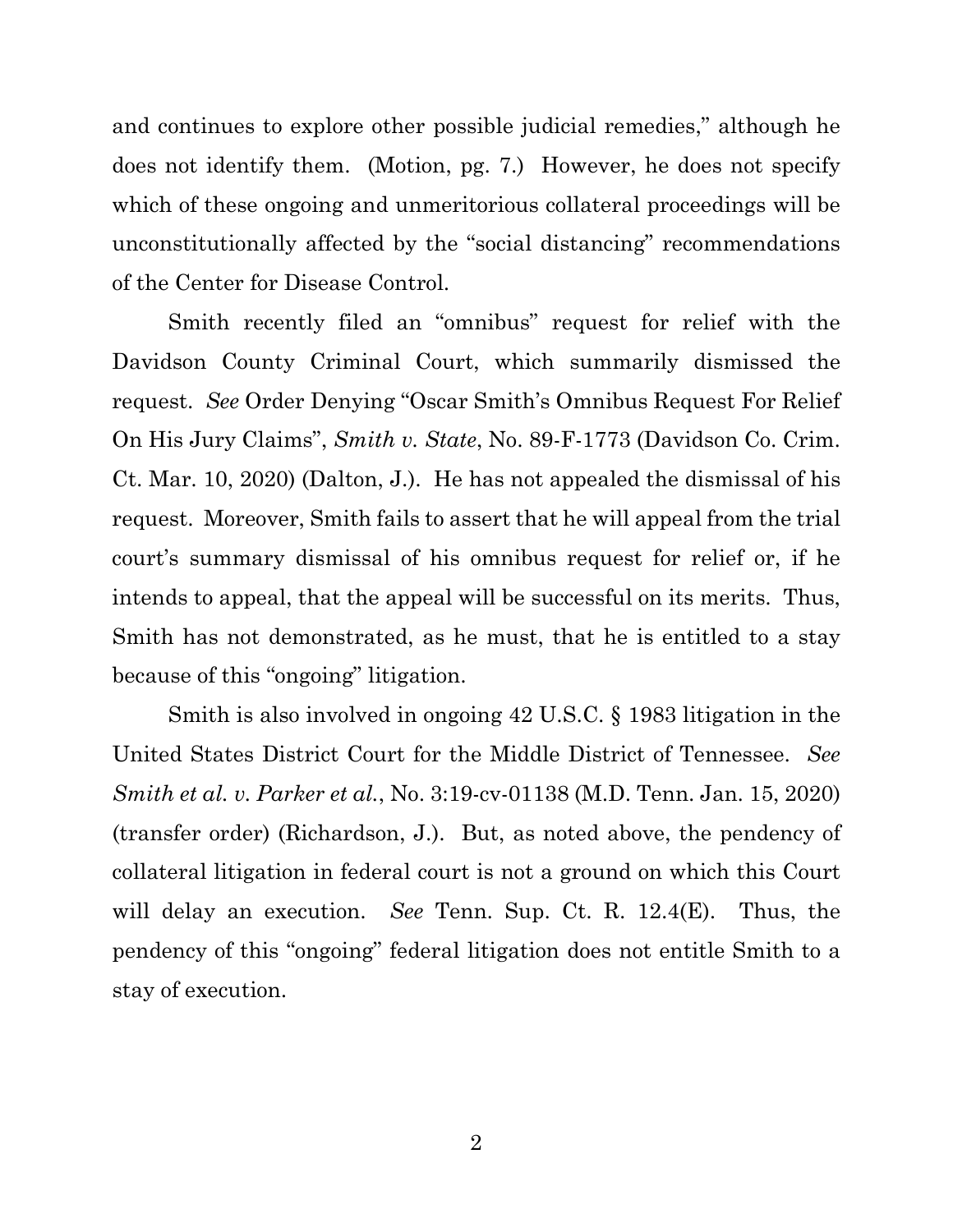and continues to explore other possible judicial remedies," although he does not identify them. (Motion, pg. 7.) However, he does not specify which of these ongoing and unmeritorious collateral proceedings will be unconstitutionally affected by the "social distancing" recommendations of the Center for Disease Control.

Smith recently filed an "omnibus" request for relief with the Davidson County Criminal Court, which summarily dismissed the request. *See* Order Denying "Oscar Smith's Omnibus Request For Relief On His Jury Claims", *Smith v. State*, No. 89-F-1773 (Davidson Co. Crim. Ct. Mar. 10, 2020) (Dalton, J.). He has not appealed the dismissal of his request. Moreover, Smith fails to assert that he will appeal from the trial court's summary dismissal of his omnibus request for relief or, if he intends to appeal, that the appeal will be successful on its merits. Thus, Smith has not demonstrated, as he must, that he is entitled to a stay because of this "ongoing" litigation.

Smith is also involved in ongoing 42 U.S.C. § 1983 litigation in the United States District Court for the Middle District of Tennessee. *See Smith et al. v. Parker et al.*, No. 3:19-cv-01138 (M.D. Tenn. Jan. 15, 2020) (transfer order) (Richardson, J.). But, as noted above, the pendency of collateral litigation in federal court is not a ground on which this Court will delay an execution. *See* Tenn. Sup. Ct. R. 12.4(E). Thus, the pendency of this "ongoing" federal litigation does not entitle Smith to a stay of execution.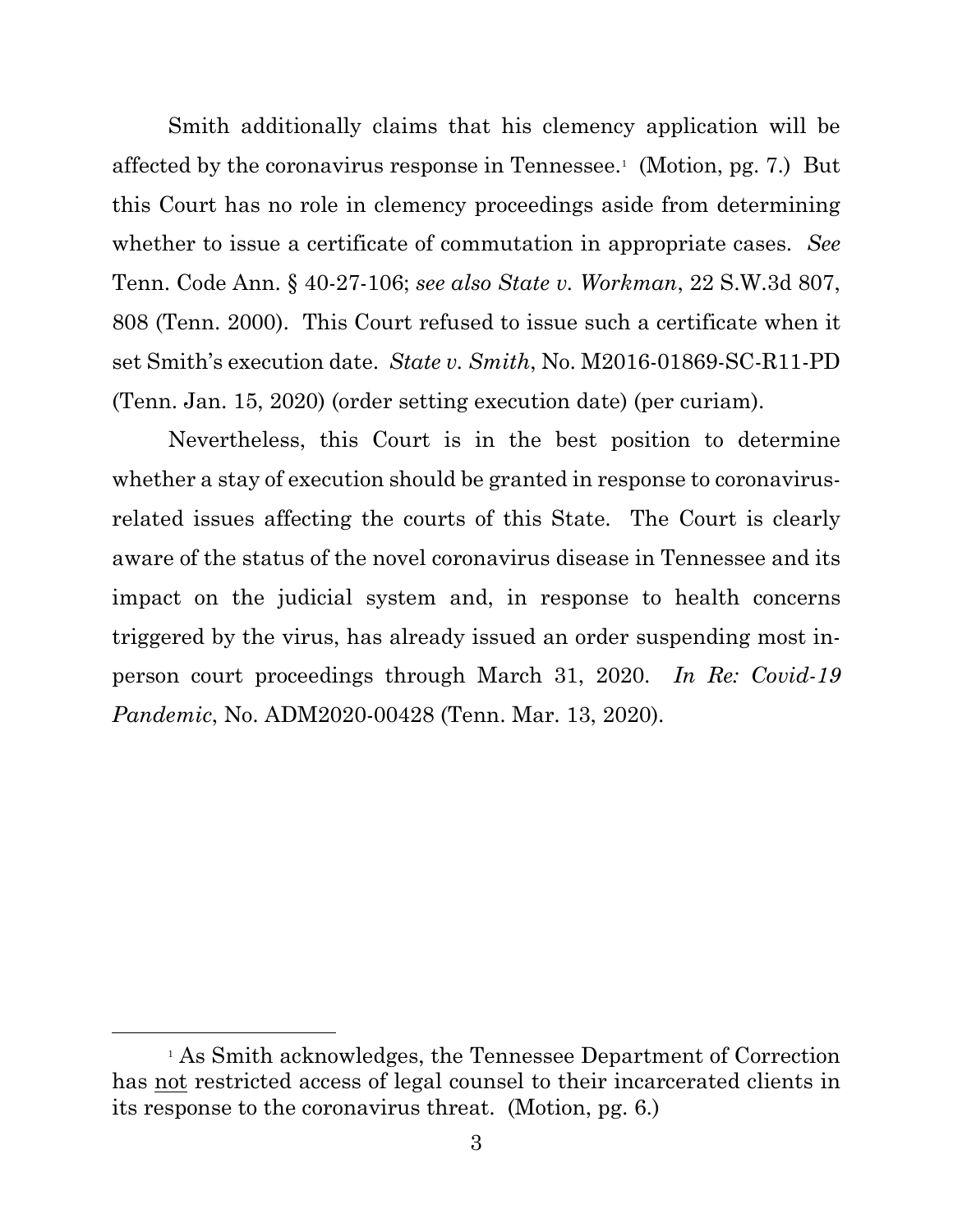Smith additionally claims that his clemency application will be affected by the coronavirus response in Tennessee.<sup>[1](#page-2-0)</sup> (Motion, pg. 7.) But this Court has no role in clemency proceedings aside from determining whether to issue a certificate of commutation in appropriate cases. *See* Tenn. Code Ann. § 40-27-106; *see also State v. Workman*, 22 S.W.3d 807, 808 (Tenn. 2000). This Court refused to issue such a certificate when it set Smith's execution date. *State v. Smith*, No. M2016-01869-SC-R11-PD (Tenn. Jan. 15, 2020) (order setting execution date) (per curiam).

Nevertheless, this Court is in the best position to determine whether a stay of execution should be granted in response to coronavirusrelated issues affecting the courts of this State. The Court is clearly aware of the status of the novel coronavirus disease in Tennessee and its impact on the judicial system and, in response to health concerns triggered by the virus, has already issued an order suspending most inperson court proceedings through March 31, 2020. *In Re: Covid-19 Pandemic*, No. ADM2020-00428 (Tenn. Mar. 13, 2020).

<span id="page-2-0"></span><sup>1</sup> As Smith acknowledges, the Tennessee Department of Correction has not restricted access of legal counsel to their incarcerated clients in its response to the coronavirus threat. (Motion, pg. 6.)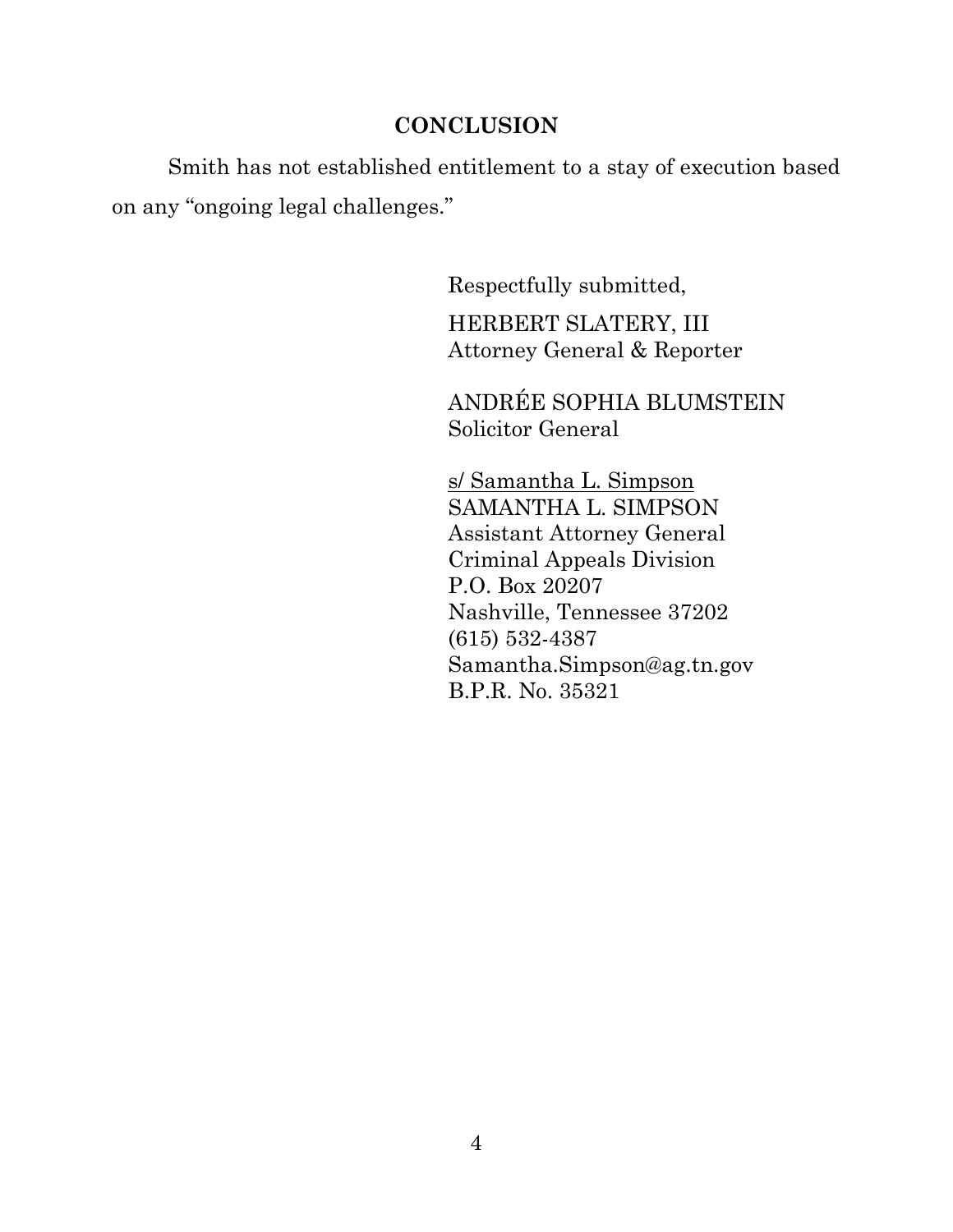## **CONCLUSION**

Smith has not established entitlement to a stay of execution based on any "ongoing legal challenges."

> Respectfully submitted, HERBERT SLATERY, III Attorney General & Reporter

ANDRÉE SOPHIA BLUMSTEIN Solicitor General

s/ Samantha L. Simpson SAMANTHA L. SIMPSON Assistant Attorney General Criminal Appeals Division P.O. Box 20207 Nashville, Tennessee 37202 (615) 532-4387 Samantha.Simpson@ag.tn.gov B.P.R. No. 35321